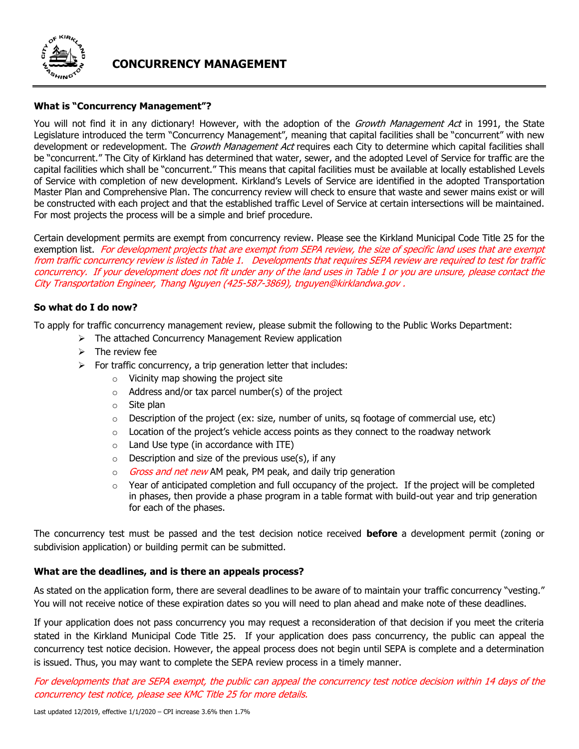

# **CONCURRENCY MANAGEMENT**

## **What is "Concurrency Management"?**

You will not find it in any dictionary! However, with the adoption of the Growth Management Act in 1991, the State Legislature introduced the term "Concurrency Management", meaning that capital facilities shall be "concurrent" with new development or redevelopment. The Growth Management Act requires each City to determine which capital facilities shall be "concurrent." The City of Kirkland has determined that water, sewer, and the adopted Level of Service for traffic are the capital facilities which shall be "concurrent." This means that capital facilities must be available at locally established Levels of Service with completion of new development. Kirkland's Levels of Service are identified in the adopted Transportation Master Plan and Comprehensive Plan. The concurrency review will check to ensure that waste and sewer mains exist or will be constructed with each project and that the established traffic Level of Service at certain intersections will be maintained. For most projects the process will be a simple and brief procedure.

Certain development permits are exempt from concurrency review. Please see the Kirkland Municipal Code Title 25 for the exemption list. For development projects that are exempt from SEPA review, the size of specific land uses that are exempt from traffic concurrency review is listed in Table 1. Developments that requires SEPA review are required to test for traffic concurrency. If your development does not fit under any of the land uses in Table 1 or you are unsure, please contact the City Transportation Engineer, Thang Nguyen (425-587-3869), tnguyen@kirklandwa.gov .

## **So what do I do now?**

To apply for traffic concurrency management review, please submit the following to the Public Works Department:

- ➢ The attached Concurrency Management Review application
- $\triangleright$  The review fee
- $\triangleright$  For traffic concurrency, a trip generation letter that includes:
	- o Vicinity map showing the project site
	- $\circ$  Address and/or tax parcel number(s) of the project
	- o Site plan
	- $\circ$  Description of the project (ex: size, number of units, sq footage of commercial use, etc)
	- $\circ$  Location of the project's vehicle access points as they connect to the roadway network
	- $\circ$  Land Use type (in accordance with ITE)
	- $\circ$  Description and size of the previous use(s), if any
	- $\circ$  *Gross and net new* AM peak, PM peak, and daily trip generation
	- $\circ$  Year of anticipated completion and full occupancy of the project. If the project will be completed in phases, then provide a phase program in a table format with build-out year and trip generation for each of the phases.

The concurrency test must be passed and the test decision notice received **before** a development permit (zoning or subdivision application) or building permit can be submitted.

## **What are the deadlines, and is there an appeals process?**

As stated on the application form, there are several deadlines to be aware of to maintain your traffic concurrency "vesting." You will not receive notice of these expiration dates so you will need to plan ahead and make note of these deadlines.

If your application does not pass concurrency you may request a reconsideration of that decision if you meet the criteria stated in the Kirkland Municipal Code Title 25. If your application does pass concurrency, the public can appeal the concurrency test notice decision. However, the appeal process does not begin until SEPA is complete and a determination is issued. Thus, you may want to complete the SEPA review process in a timely manner.

For developments that are SEPA exempt, the public can appeal the concurrency test notice decision within 14 days of the concurrency test notice, please see KMC Title 25 for more details.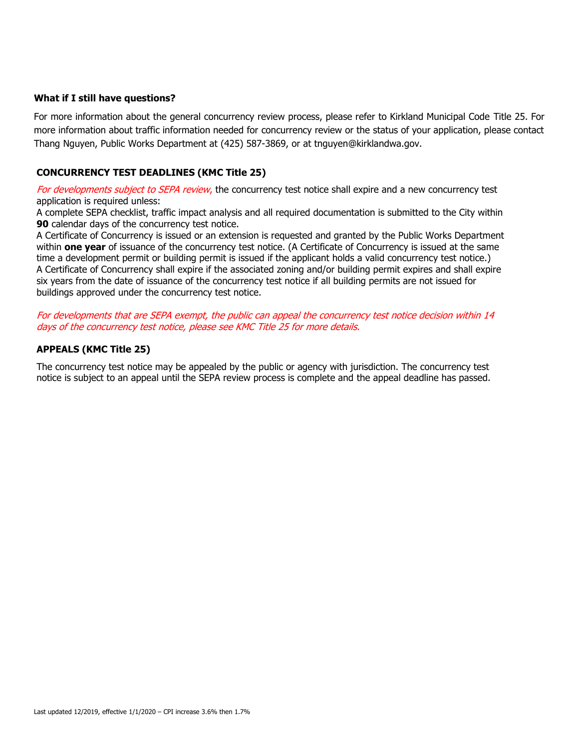#### **What if I still have questions?**

For more information about the general concurrency review process, please refer to Kirkland Municipal Code Title 25. For more information about traffic information needed for concurrency review or the status of your application, please contact Thang Nguyen, Public Works Department at (425) 587-3869, or at tnguyen@kirklandwa.gov.

#### **CONCURRENCY TEST DEADLINES (KMC Title 25)**

For developments subject to SEPA review, the concurrency test notice shall expire and a new concurrency test application is required unless:

A complete SEPA checklist, traffic impact analysis and all required documentation is submitted to the City within **90** calendar days of the concurrency test notice.

A Certificate of Concurrency is issued or an extension is requested and granted by the Public Works Department within **one year** of issuance of the concurrency test notice. (A Certificate of Concurrency is issued at the same time a development permit or building permit is issued if the applicant holds a valid concurrency test notice.) 3. A Certificate of Concurrency shall expire if the associated zoning and/or building permit expires and shall expire six years from the date of issuance of the concurrency test notice if all building permits are not issued for buildings approved under the concurrency test notice.

For developments that are SEPA exempt, the public can appeal the concurrency test notice decision within 14 days of the concurrency test notice, please see KMC Title 25 for more details.

#### **APPEALS (KMC Title 25)**

The concurrency test notice may be appealed by the public or agency with jurisdiction. The concurrency test notice is subject to an appeal until the SEPA review process is complete and the appeal deadline has passed.